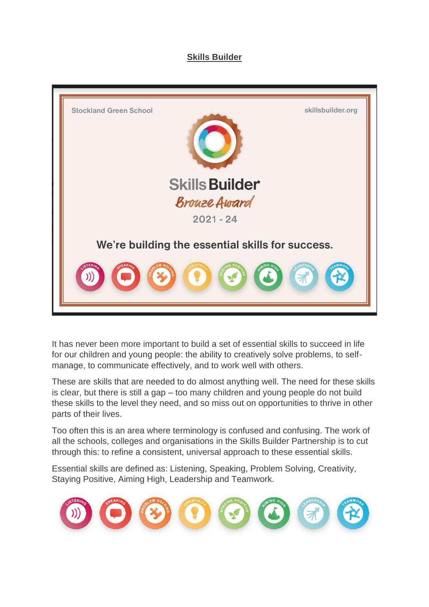#### **Skills Builder**



It has never been more important to build a set of essential skills to succeed in life for our children and young people: the ability to creatively solve problems, to selfmanage, to communicate effectively, and to work well with others.

These are skills that are needed to do almost anything well. The need for these skills is clear, but there is still a gap – too many children and young people do not build these skills to the level they need, and so miss out on opportunities to thrive in other parts of their lives.

Too often this is an area where terminology is confused and confusing. The work of all the schools, colleges and organisations in the Skills Builder Partnership is to cut through this: to refine a consistent, universal approach to these essential skills.

Essential skills are defined as: Listening, Speaking, Problem Solving, Creativity, Staying Positive, Aiming High, Leadership and Teamwork.

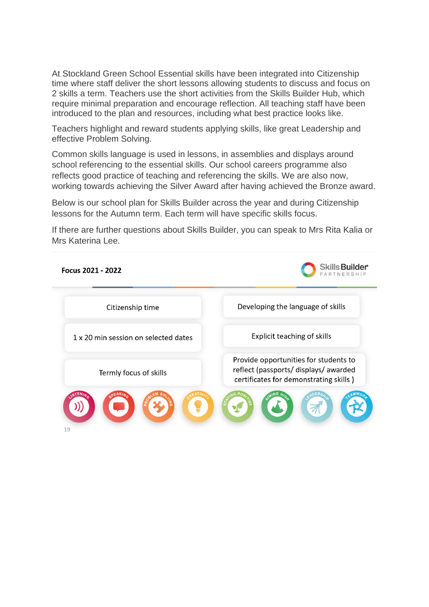At Stockland Green School Essential skills have been integrated into Citizenship time where staff deliver the short lessons allowing students to discuss and focus on 2 skills a term. Teachers use the short activities from the Skills Builder Hub, which require minimal preparation and encourage reflection. All teaching staff have been introduced to the plan and resources, including what best practice looks like.

Teachers highlight and reward students applying skills, like great Leadership and effective Problem Solving.

Common skills language is used in lessons, in assemblies and displays around school referencing to the essential skills. Our school careers programme also reflects good practice of teaching and referencing the skills. We are also now, working towards achieving the Silver Award after having achieved the Bronze award.

Below is our school plan for Skills Builder across the year and during Citizenship lessons for the Autumn term. Each term will have specific skills focus.

If there are further questions about Skills Builder, you can speak to Mrs Rita Kalia or Mrs Katerina Lee.

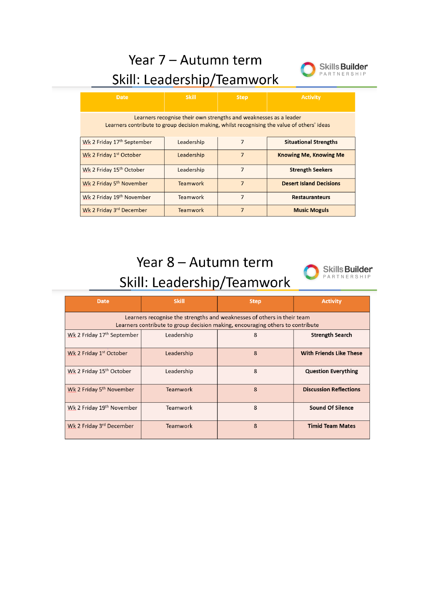Year 7 - Autumn term



### Skill: Leadership/Teamwork Learners recognise their own strengths and weaknesses as a leader Learners contribute to group decision making, whilst recognising the value of others' ideas

| Wk 2 Friday 17th September           | Leadership      |   | <b>Situational Strengths</b>   |
|--------------------------------------|-----------------|---|--------------------------------|
| Wk 2 Friday 1 <sup>st</sup> October  | Leadership      |   | <b>Knowing Me, Knowing Me</b>  |
| Wk 2 Friday 15 <sup>th</sup> October | Leadership      |   | <b>Strength Seekers</b>        |
| Wk 2 Friday 5 <sup>th</sup> November | <b>Teamwork</b> | 7 | <b>Desert Island Decisions</b> |
| Wk 2 Friday 19th November            | Teamwork        |   | <b>Restauranteurs</b>          |
| Wk 2 Friday 3rd December             | <b>Teamwork</b> |   | <b>Music Moguls</b>            |

# Year 8 - Autumn term



| <b>Date</b>                                                                                                                                               | <b>Skill</b>    | <b>Step</b> | <b>Activity</b>                |  |  |
|-----------------------------------------------------------------------------------------------------------------------------------------------------------|-----------------|-------------|--------------------------------|--|--|
| Learners recognise the strengths and weaknesses of others in their team<br>Learners contribute to group decision making, encouraging others to contribute |                 |             |                                |  |  |
| Wk 2 Friday 17 <sup>th</sup> September                                                                                                                    | Leadership      | 8           | <b>Strength Search</b>         |  |  |
| Wk 2 Friday 1st October                                                                                                                                   | Leadership      | 8           | <b>With Friends Like These</b> |  |  |
| Wk 2 Friday 15 <sup>th</sup> October                                                                                                                      | Leadership      | 8           | <b>Question Everything</b>     |  |  |
| Wk 2 Friday 5 <sup>th</sup> November                                                                                                                      | Teamwork        | 8           | <b>Discussion Reflections</b>  |  |  |
| Wk 2 Friday 19th November                                                                                                                                 | Teamwork        | 8           | <b>Sound Of Silence</b>        |  |  |
| Wk 2 Friday 3rd December                                                                                                                                  | <b>Teamwork</b> | 8           | <b>Timid Team Mates</b>        |  |  |

## Skill: Leadership/Teamwork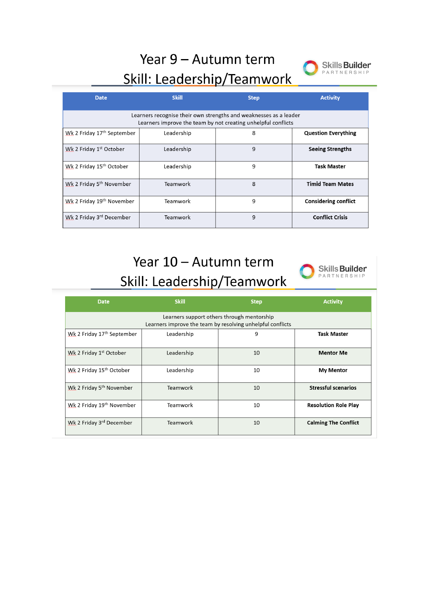# Year 9 - Autumn term



#### Skill: Leadership/Teamwork

| <b>Date</b>                                                                                                                        | <b>Skill</b> | <b>Step</b>  | <b>Activity</b>             |  |  |  |
|------------------------------------------------------------------------------------------------------------------------------------|--------------|--------------|-----------------------------|--|--|--|
| Learners recognise their own strengths and weaknesses as a leader<br>Learners improve the team by not creating unhelpful conflicts |              |              |                             |  |  |  |
| Wk 2 Friday 17 <sup>th</sup> September                                                                                             | Leadership   | 8            | <b>Question Everything</b>  |  |  |  |
| Wk 2 Friday 1st October                                                                                                            | Leadership   | 9            | <b>Seeing Strengths</b>     |  |  |  |
| Wk 2 Friday 15 <sup>th</sup> October                                                                                               | Leadership   | 9            | <b>Task Master</b>          |  |  |  |
| Wk 2 Friday 5 <sup>th</sup> November                                                                                               | Teamwork     | $\mathbf{8}$ | <b>Timid Team Mates</b>     |  |  |  |
| Wk 2 Friday 19th November                                                                                                          | Teamwork     | 9            | <b>Considering conflict</b> |  |  |  |
| Wk 2 Friday 3 <sup>rd</sup> December                                                                                               | Teamwork     | 9            | <b>Conflict Crisis</b>      |  |  |  |

#### Year 10 - Autumn term Skill: Leadership/Teamwork



| <b>Date</b>                                                                                              | <b>Skill</b> | <b>Step</b> | <b>Activity</b>             |  |  |
|----------------------------------------------------------------------------------------------------------|--------------|-------------|-----------------------------|--|--|
| Learners support others through mentorship<br>Learners improve the team by resolving unhelpful conflicts |              |             |                             |  |  |
| Wk 2 Friday 17 <sup>th</sup> September                                                                   | Leadership   | 9           | <b>Task Master</b>          |  |  |
| Wk 2 Friday 1st October                                                                                  | Leadership   | 10          | <b>Mentor Me</b>            |  |  |
| Wk 2 Friday 15 <sup>th</sup> October                                                                     | Leadership   | 10          | <b>My Mentor</b>            |  |  |
| Wk 2 Friday 5 <sup>th</sup> November                                                                     | Teamwork     | 10          | <b>Stressful scenarios</b>  |  |  |
| Wk 2 Friday 19 <sup>th</sup> November                                                                    | Teamwork     | 10          | <b>Resolution Role Play</b> |  |  |
| Wk 2 Friday 3rd December                                                                                 | Teamwork     | 10          | <b>Calming The Conflict</b> |  |  |